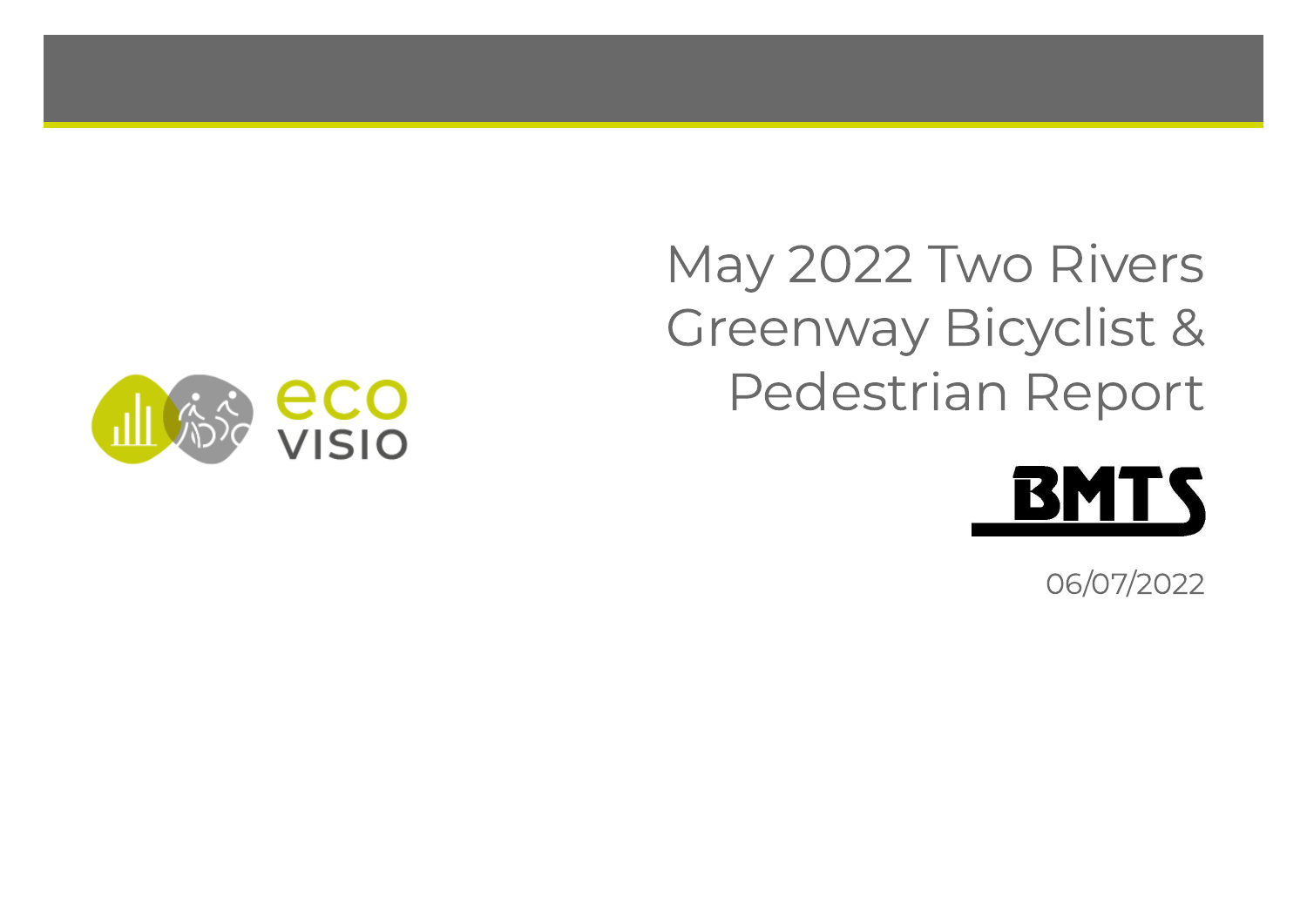May 2022 Two Rivers Greenway Bicyclist & Pedestrian Report



06/07/2022

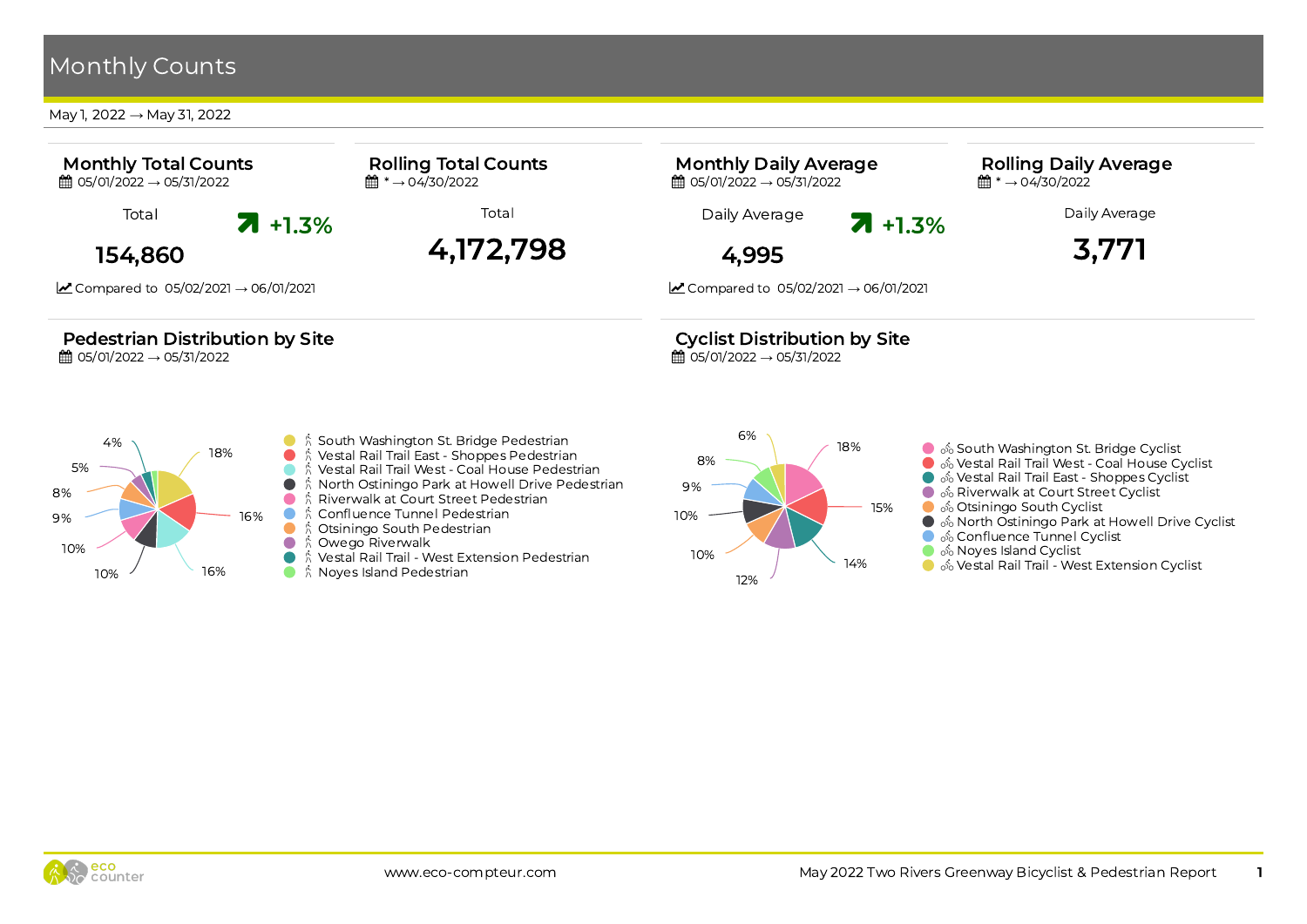#### May 1, 2022 → May 31, 2022

 $10\%$  16%



 $\bullet$ ₿ Noyes Island Pedestrian

12%

● % Vestal Rail Trail - West Extension Cyclist

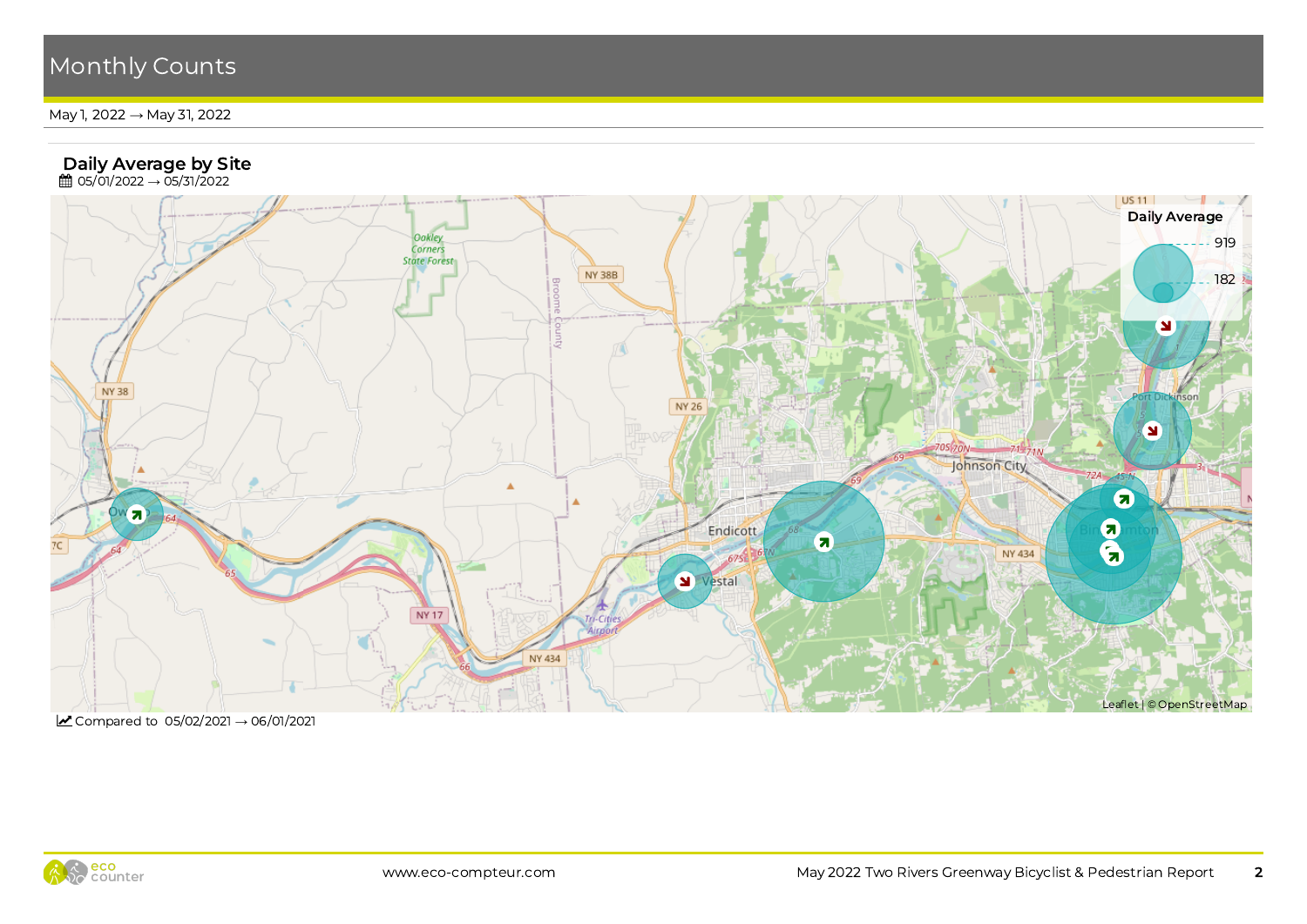May 1, 2022 → May 31, 2022



■ Compared to 05/02/2021 → 06/01/2021

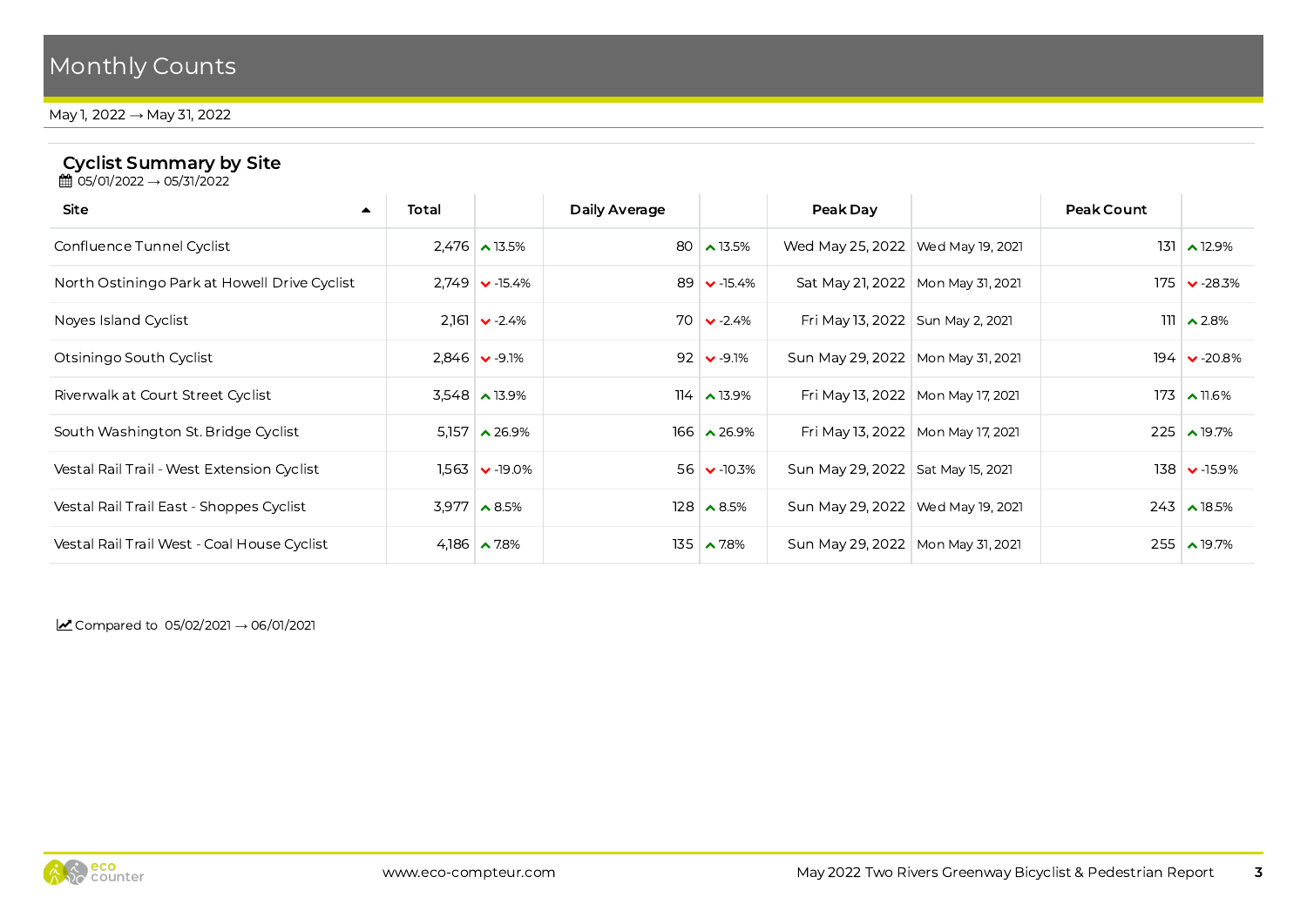May 1, 2022 → May 31, 2022

#### Cyclist Summary by Site

**曲 05/01/2022 → 05/31/2022** 

| Site                                         | Total |                                 | Daily Average |                     | Peak Day                            |                                     | Peak Count |                      |
|----------------------------------------------|-------|---------------------------------|---------------|---------------------|-------------------------------------|-------------------------------------|------------|----------------------|
| Confluence Tunnel Cyclist                    |       | $2.476$ $\rightarrow$ 13.5%     |               | 80 $\sim$ 13.5%     | Wed May 25, 2022   Wed May 19, 2021 |                                     |            | $131 \times 12.9\%$  |
| North Ostiningo Park at Howell Drive Cyclist |       | $2.749 \times -15.4\%$          |               | 89 $\vee$ -15.4%    | Sat May 21, 2022   Mon May 31, 2021 |                                     |            | $175 \times -28.3\%$ |
| Noves Island Cyclist                         | 2,161 | $\bullet$ -2.4%                 |               | $70 \times -2.4\%$  | Fri May 13, 2022   Sun May 2, 2021  |                                     |            | $111$ $\lambda$ 2.8% |
| Otsiningo South Cyclist                      |       | $2,846$ $\vee$ -9.1%            |               | $92 \times -9.1\%$  | Sun May 29, 2022   Mon May 31, 2021 |                                     |            | $194 \times 20.8\%$  |
| Riverwalk at Court Street Cyclist            |       | $3,548$ $\lambda$ 13.9%         |               | $114 \times 13.9\%$ |                                     | Fri May 13, 2022   Mon May 17, 2021 |            | $173 \times 11.6\%$  |
| South Washington St. Bridge Cyclist          | 5.157 | $\lambda$ 26.9%                 |               | $166 \times 26.9\%$ |                                     | Fri May 13, 2022   Mon May 17, 2021 |            | $225 \times 19.7\%$  |
| Vestal Rail Trail - West Extension Cyclist   |       | $1,563$ $\triangleright$ -19.0% |               | $56 \times 10.3\%$  | Sun May 29, 2022   Sat May 15, 2021 |                                     |            | $138 \times 15.9\%$  |
| Vestal Rail Trail East - Shoppes Cyclist     |       | $3,977$ $\wedge$ 8.5%           |               | $128 \times 8.5\%$  | Sun May 29, 2022   Wed May 19, 2021 |                                     |            | $243 \times 18.5\%$  |
| Vestal Rail Trail West - Coal House Cyclist  |       | 4,186 $\sim$ 7.8%               |               | $135 \times 7.8\%$  | Sun May 29, 2022   Mon May 31, 2021 |                                     |            | $255 \times 19.7\%$  |
|                                              |       |                                 |               |                     |                                     |                                     |            |                      |

Compared to  $05/02/2021 \rightarrow 06/01/2021$ 

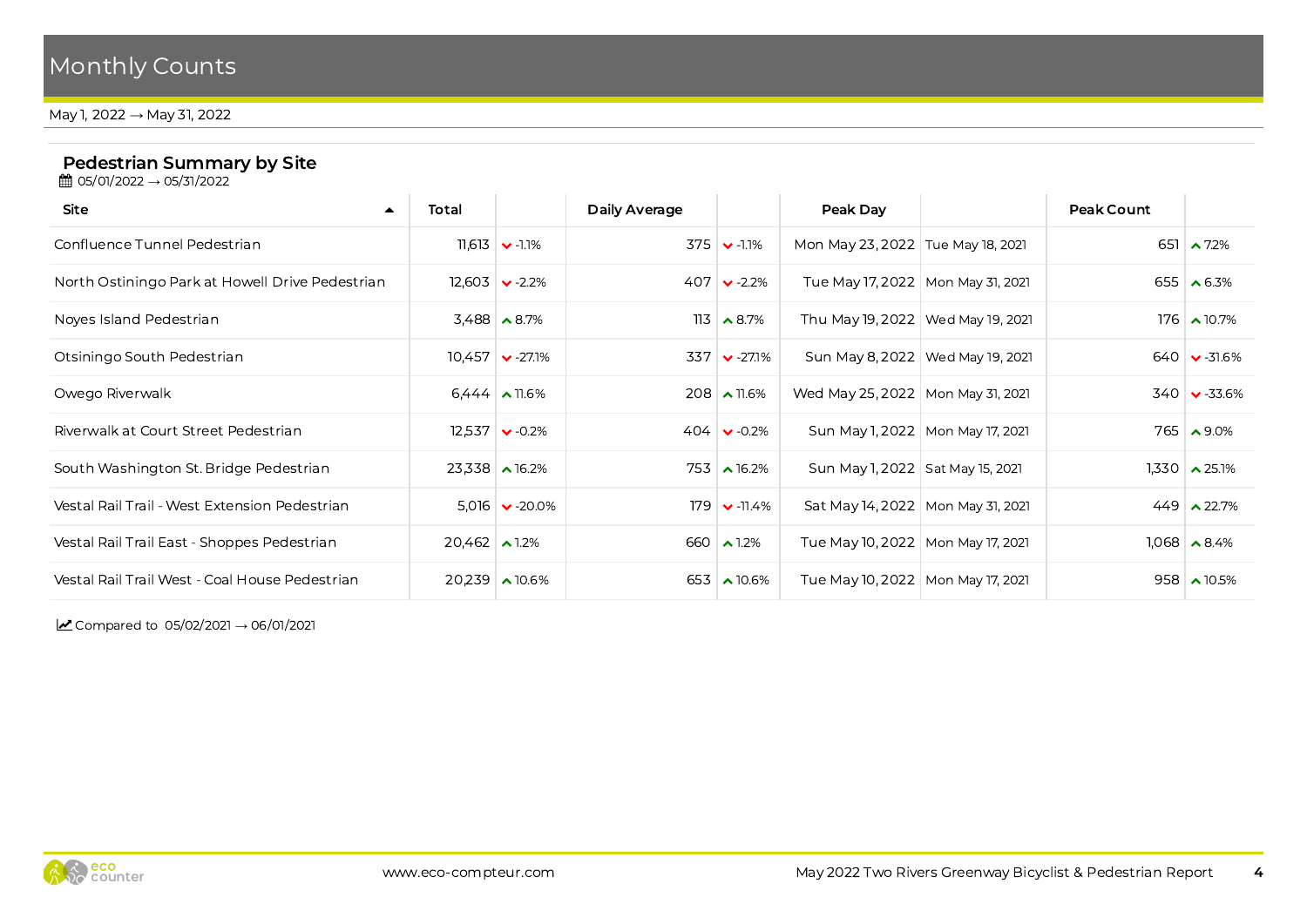May 1, 2022 → May 31, 2022

### Pedestrian Summary by Site

**曲 05/01/2022 → 05/31/2022** 

| Site<br>$\blacktriangle$                        | Total                     |                                 | Daily Average |                               | Peak Day                            |                                    | Peak Count |                            |
|-------------------------------------------------|---------------------------|---------------------------------|---------------|-------------------------------|-------------------------------------|------------------------------------|------------|----------------------------|
| Confluence Tunnel Pedestrian                    |                           | $11,613$ $\bullet$ -1.1%        |               | $375 \times 11\%$             | Mon May 23, 2022   Tue May 18, 2021 |                                    |            | 651 $\sim$ 7.2%            |
| North Ostiningo Park at Howell Drive Pedestrian |                           | $12,603$ $\triangleright$ -2.2% |               | $407 \times -2.2\%$           | Tue May 17, 2022   Mon May 31, 2021 |                                    |            | 655 $\triangle$ 6.3%       |
| Noves Island Pedestrian                         |                           | $3,488$ $\triangle 8.7\%$       |               | $113 \times 8.7\%$            | Thu May 19, 2022   Wed May 19, 2021 |                                    |            | $176$ $\triangle$ 10.7%    |
| Otsiningo South Pedestrian                      |                           | $10,457$ $\bullet$ -27.1%       |               | $337$ $\triangleright$ -27.1% |                                     | Sun May 8, 2022   Wed May 19, 2021 |            | $640 \times -31.6\%$       |
| Owego Riverwalk                                 |                           | $6,444$ $\triangle$ 11.6%       |               | $208 \times 11.6\%$           | Wed May 25, 2022   Mon May 31, 2021 |                                    |            | $340 \times -33.6\%$       |
| Riverwalk at Court Street Pedestrian            |                           | $12,537$ $\bullet$ -0.2%        |               | $404 \times 0.2\%$            |                                     | Sun May 1, 2022   Mon May 17, 2021 |            | $765 \times 9.0\%$         |
| South Washington St. Bridge Pedestrian          |                           | $23,338$ $\triangle$ 16.2%      |               | $753 \times 16.2\%$           | Sun May 1, 2022   Sat May 15, 2021  |                                    |            | $1,330$ $\lambda$ 25.1%    |
| Vestal Rail Trail - West Extension Pedestrian   |                           | $5,016$ $\vee$ -20.0%           |               | $179$ $\bullet$ -11.4%        | Sat May 14, 2022   Mon May 31, 2021 |                                    |            | $449 \times 22.7\%$        |
| Vestal Rail Trail East - Shoppes Pedestrian     | $20,462$ $\triangle$ 1.2% |                                 |               | 660 $\sim$ 1.2%               | Tue May 10, 2022   Mon May 17, 2021 |                                    |            | $1,068$ $\rightarrow$ 8.4% |
| Vestal Rail Trail West - Coal House Pedestrian  |                           | $20,239$ $\lambda$ 10.6%        |               | 653 $\lambda$ 10.6%           | Tue May 10, 2022   Mon May 17, 2021 |                                    |            | $958 \times 10.5\%$        |

Compared to  $05/02/2021 \rightarrow 06/01/2021$